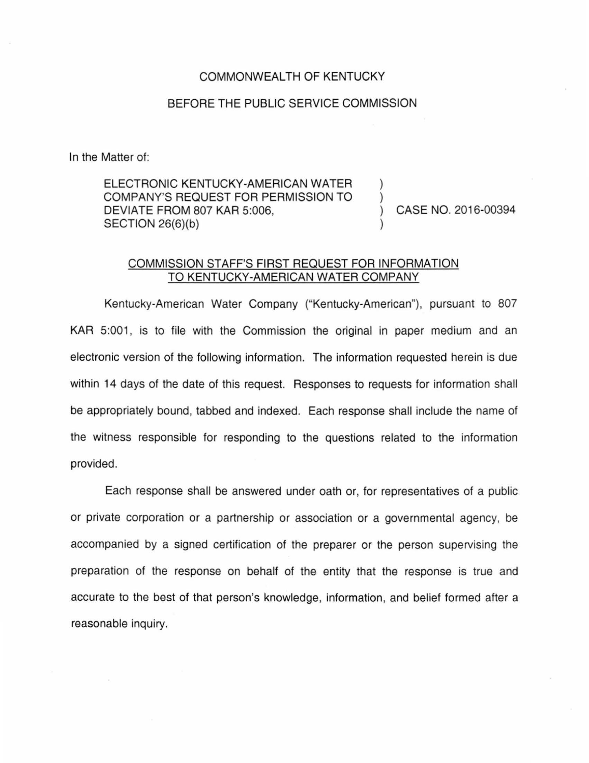## COMMONWEALTH OF KENTUCKY

## BEFORE THE PUBLIC SERVICE COMMISSION

In the Matter of:

ELECTRONIC KENTUCKY-AMERICAN WATER COMPANY'S REQUEST FOR PERMISSION TO DEVIATE FROM 807 KAR 5:006, SECTION 26(6)(b)

) CASE NO. 2016-00394

) )

)

## COMMISSION STAFF'S FIRST REQUEST FOR INFORMATION TO KENTUCKY-AMERICAN WATER COMPANY

Kentucky-American Water Company ("Kentucky-American"), pursuant to 807 KAR 5:001, is to file with the Commission the original in paper medium and an electronic version of the following information. The information requested herein is due within 14 days of the date of this request. Responses to requests for information shall be appropriately bound, tabbed and indexed. Each response shall include the name of the witness responsible for responding to the questions related to the information provided.

Each response shall be answered under oath or, for representatives of a public or private corporation or a partnership or association or a governmental agency, be accompanied by a signed certification of the preparer or the person supervising the preparation of the response on behalf of the entity that the response is true and accurate to the best of that person's knowledge, information, and belief formed after a reasonable inquiry.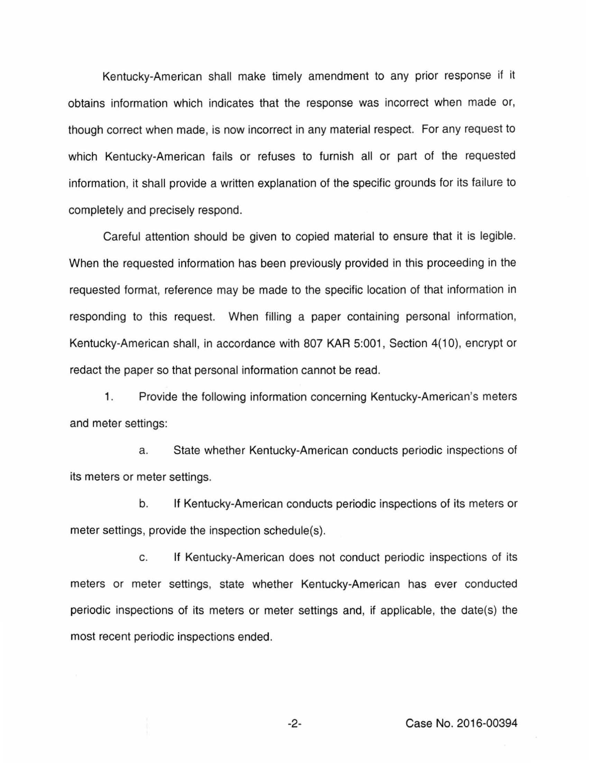Kentucky-American shall make timely amendment to any prior response if it obtains information which indicates that the response was incorrect when made or, though correct when made, is now incorrect in any material respect. For any request to which Kentucky-American fails or refuses to furnish all or part of the requested information, it shall provide a written explanation of the specific grounds for its failure to completely and precisely respond.

Careful attention should be given to copied material to ensure that it is legible. When the requested information has been previously provided in this proceeding in the requested format, reference may be made to the specific location of that information in responding to this request. When filling a paper containing personal information, Kentucky-American shall, in accordance with 807 KAR 5:001, Section 4(10), encrypt or redact the paper so that personal information cannot be read.

1. Provide the following information concerning Kentucky-American's meters and meter settings:

a. State whether Kentucky-American conducts periodic inspections of its meters or meter settings.

b. If Kentucky-American conducts periodic inspections of its meters or meter settings, provide the inspection schedule(s).

c. If Kentucky-American does not conduct periodic inspections of its meters or meter settings, state whether Kentucky-American has ever conducted periodic inspections of its meters or meter settings and, if applicable, the date(s) the most recent periodic inspections ended.

-2- Case No. 2016-00394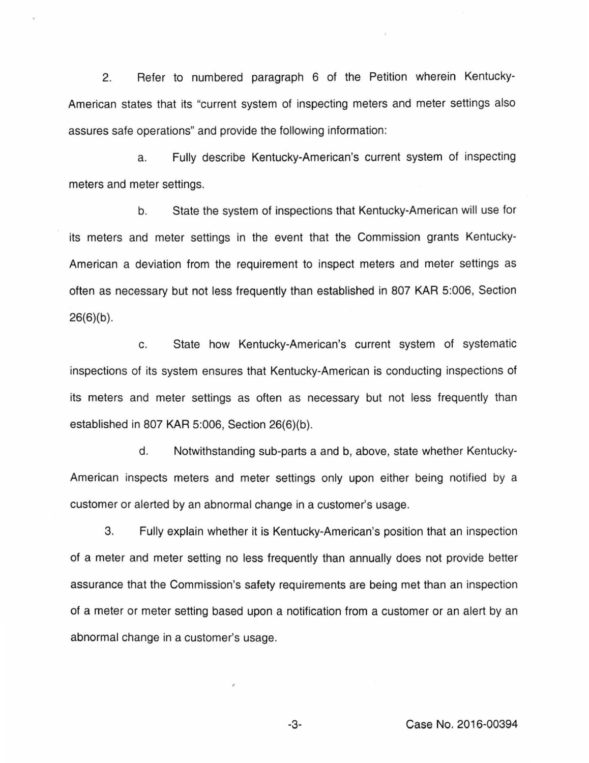2. Refer to numbered paragraph 6 of the Petition wherein Kentucky-American states that its "current system of inspecting meters and meter settings also assures safe operations" and provide the following information:

a. Fully describe Kentucky-American's current system of inspecting meters and meter settings.

b. State the system of inspections that Kentucky-American will use for its meters and meter settings in the event that the Commission grants Kentucky-American a deviation from the requirement to inspect meters and meter settings as often as necessary but not less frequently than established in 807 KAR 5:006, Section  $26(6)(b)$ .

c. State how Kentucky-American's current system of systematic inspections of its system ensures that Kentucky-American is conducting inspections of its meters and meter settings as often as necessary but not less frequently than established in 807 KAR 5:006, Section 26(6)(b).

d. Notwithstanding sub-parts a and b, above, state whether Kentucky-American inspects meters and meter settings only upon either being notified by a customer or alerted by an abnormal change in a customer's usage.

3. Fully explain whether it is Kentucky-American's position that an inspection of a meter and meter setting no less frequently than annually does not provide better assurance that the Commission's safety requirements are being met than an inspection of a meter or meter setting based upon a notification from a customer or an alert by an abnormal change in a customer's usage.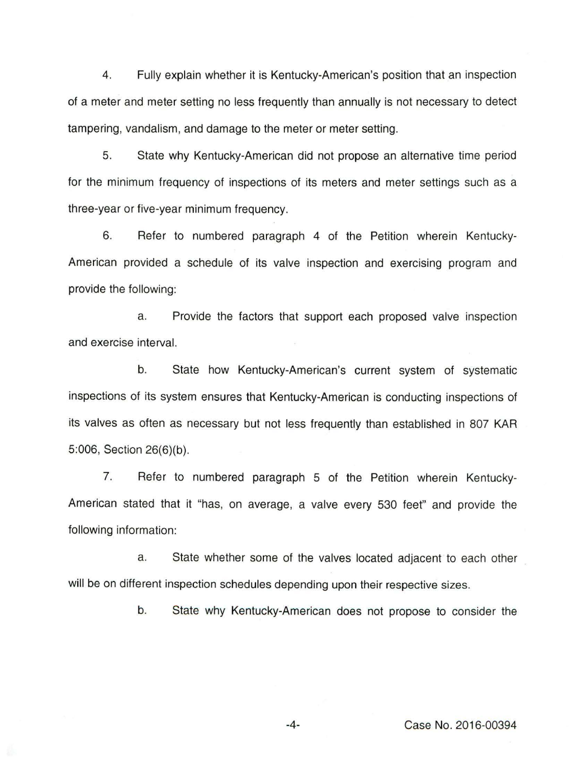4. Fully explain whether it is Kentucky-American's position that an inspection of a meter and meter setting no less frequently than annually is not necessary to detect tampering, vandalism, and damage to the meter or meter setting.

5. State why Kentucky-American did not propose an alternative time period for the minimum frequency of inspections of its meters and meter settings such as a three-year or five-year minimum frequency.

6. Refer to numbered paragraph 4 of the Petition wherein Kentucky-American provided a schedule of its valve inspection and exercising program and provide the following:

a. Provide the factors that support each proposed valve inspection and exercise interval.

b. State how Kentucky-American's current system of systematic inspections of its system ensures that Kentucky-American is conducting inspections of its valves as often as necessary but not less frequently than established in 807 KAR 5:006, Section 26(6)(b).

7. Refer to numbered paragraph 5 of the Petition wherein Kentucky-American stated that it "has, on average, a valve every 530 feet" and provide the following information:

a. State whether some of the valves located adjacent to each other will be on different inspection schedules depending upon their respective sizes.

b. State why Kentucky-American does not propose to consider the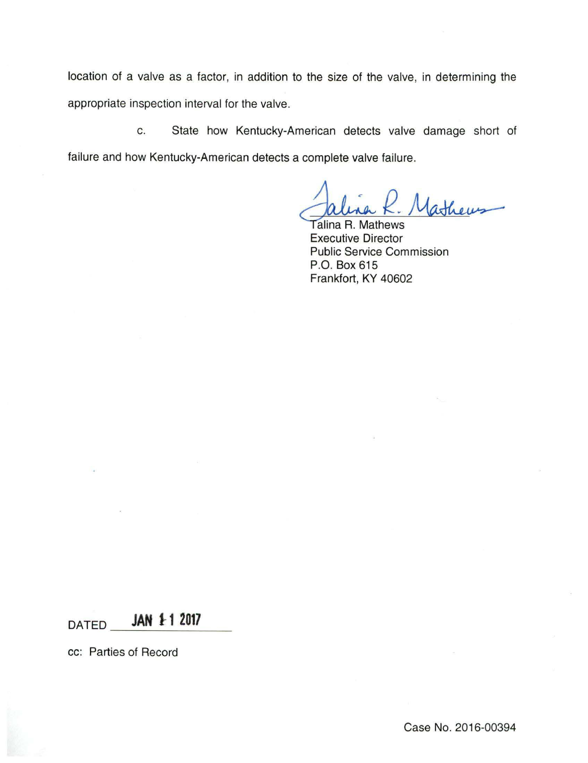location of a valve as a factor, in addition to the size of the valve, in determining the appropriate inspection interval for the valve.

c. State how Kentucky-American detects valve damage short of failure and how Kentucky-American detects a complete valve failure.

1 athers

Talina R. Mathews Executive Director Public Service Commission P.O. Box 615 Frankfort, KY 40602

DATED **JAN 1 1 2017** 

cc: Parties of Record